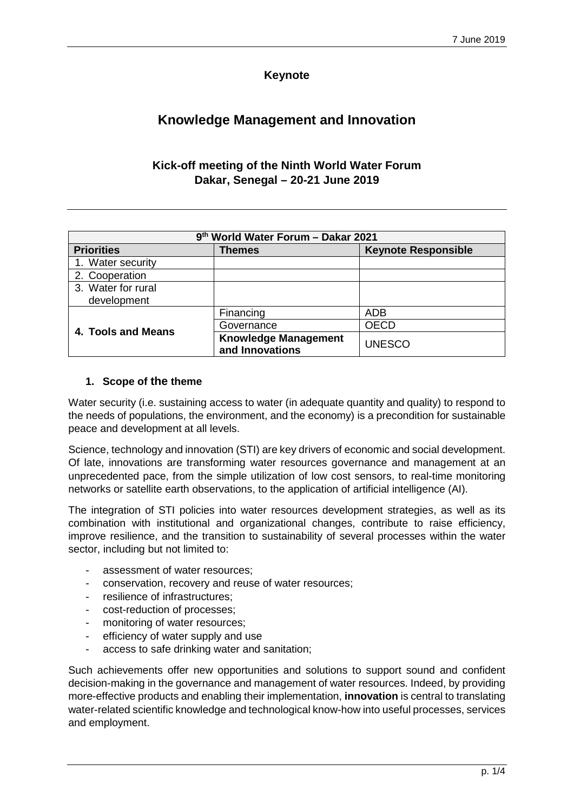## **Keynote**

# **Knowledge Management and Innovation**

# **Kick-off meeting of the Ninth World Water Forum Dakar, Senegal – 20-21 June 2019**

| 9th World Water Forum - Dakar 2021 |                                                |                            |
|------------------------------------|------------------------------------------------|----------------------------|
| <b>Priorities</b>                  | Themes                                         | <b>Keynote Responsible</b> |
| 1. Water security                  |                                                |                            |
| 2. Cooperation                     |                                                |                            |
| 3. Water for rural                 |                                                |                            |
| development                        |                                                |                            |
| 4. Tools and Means                 | Financing                                      | <b>ADB</b>                 |
|                                    | Governance                                     | <b>OECD</b>                |
|                                    | <b>Knowledge Management</b><br>and Innovations | <b>UNESCO</b>              |

#### **1. Scope of the theme**

Water security (i.e. sustaining access to water (in adequate quantity and quality) to respond to the needs of populations, the environment, and the economy) is a precondition for sustainable peace and development at all levels.

Science, technology and innovation (STI) are key drivers of economic and social development. Of late, innovations are transforming water resources governance and management at an unprecedented pace, from the simple utilization of low cost sensors, to real-time monitoring networks or satellite earth observations, to the application of artificial intelligence (AI).

The integration of STI policies into water resources development strategies, as well as its combination with institutional and organizational changes, contribute to raise efficiency, improve resilience, and the transition to sustainability of several processes within the water sector, including but not limited to:

- assessment of water resources:
- conservation, recovery and reuse of water resources;
- resilience of infrastructures;
- cost-reduction of processes:
- monitoring of water resources;
- efficiency of water supply and use
- access to safe drinking water and sanitation;

Such achievements offer new opportunities and solutions to support sound and confident decision-making in the governance and management of water resources. Indeed, by providing more-effective products and enabling their implementation, **innovation** is central to translating water-related scientific knowledge and technological know-how into useful processes, services and employment.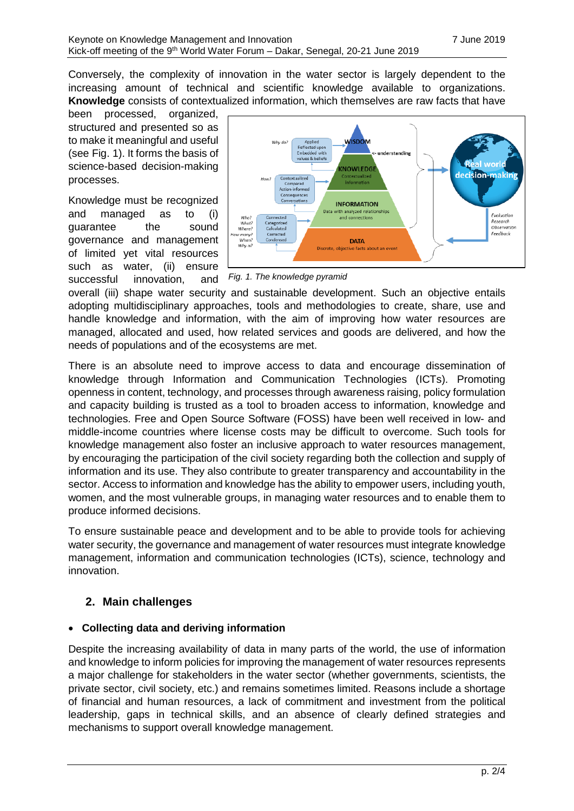Conversely, the complexity of innovation in the water sector is largely dependent to the increasing amount of technical and scientific knowledge available to organizations. **Knowledge** consists of contextualized information, which themselves are raw facts that have

been processed, organized, structured and presented so as to make it meaningful and useful (see [Fig.](#page-1-0) 1). It forms the basis of science-based decision-making processes.

Knowledge must be recognized and managed as to (i) guarantee the sound governance and management of limited yet vital resources such as water, (ii) ensure successful innovation, and



<span id="page-1-0"></span>*Fig. 1. The knowledge pyramid*

overall (iii) shape water security and sustainable development. Such an objective entails adopting multidisciplinary approaches, tools and methodologies to create, share, use and handle knowledge and information, with the aim of improving how water resources are managed, allocated and used, how related services and goods are delivered, and how the needs of populations and of the ecosystems are met.

There is an absolute need to improve access to data and encourage dissemination of knowledge through Information and Communication Technologies (ICTs). Promoting openness in content, technology, and processes through awareness raising, policy formulation and capacity building is trusted as a tool to broaden access to information, knowledge and technologies. Free and Open Source Software (FOSS) have been well received in low- and middle-income countries where license costs may be difficult to overcome. Such tools for knowledge management also foster an inclusive approach to water resources management, by encouraging the participation of the civil society regarding both the collection and supply of information and its use. They also contribute to greater transparency and accountability in the sector. Access to information and knowledge has the ability to empower users, including youth, women, and the most vulnerable groups, in managing water resources and to enable them to produce informed decisions.

To ensure sustainable peace and development and to be able to provide tools for achieving water security, the governance and management of water resources must integrate knowledge management, information and communication technologies (ICTs), science, technology and innovation.

# **2. Main challenges**

## • **Collecting data and deriving information**

Despite the increasing availability of data in many parts of the world, the use of information and knowledge to inform policies for improving the management of water resources represents a major challenge for stakeholders in the water sector (whether governments, scientists, the private sector, civil society, etc.) and remains sometimes limited. Reasons include a shortage of financial and human resources, a lack of commitment and investment from the political leadership, gaps in technical skills, and an absence of clearly defined strategies and mechanisms to support overall knowledge management.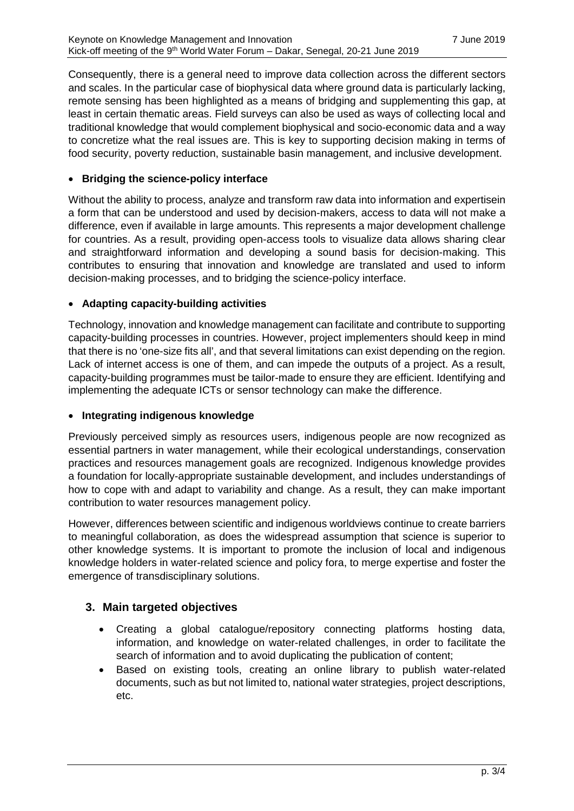Consequently, there is a general need to improve data collection across the different sectors and scales. In the particular case of biophysical data where ground data is particularly lacking, remote sensing has been highlighted as a means of bridging and supplementing this gap, at least in certain thematic areas. Field surveys can also be used as ways of collecting local and traditional knowledge that would complement biophysical and socio-economic data and a way to concretize what the real issues are. This is key to supporting decision making in terms of food security, poverty reduction, sustainable basin management, and inclusive development.

#### • **Bridging the science-policy interface**

Without the ability to process, analyze and transform raw data into information and expertisein a form that can be understood and used by decision-makers, access to data will not make a difference, even if available in large amounts. This represents a major development challenge for countries. As a result, providing open-access tools to visualize data allows sharing clear and straightforward information and developing a sound basis for decision-making. This contributes to ensuring that innovation and knowledge are translated and used to inform decision-making processes, and to bridging the science-policy interface.

#### • **Adapting capacity-building activities**

Technology, innovation and knowledge management can facilitate and contribute to supporting capacity-building processes in countries. However, project implementers should keep in mind that there is no 'one-size fits all', and that several limitations can exist depending on the region. Lack of internet access is one of them, and can impede the outputs of a project. As a result, capacity-building programmes must be tailor-made to ensure they are efficient. Identifying and implementing the adequate ICTs or sensor technology can make the difference.

#### • **Integrating indigenous knowledge**

Previously perceived simply as resources users, indigenous people are now recognized as essential partners in water management, while their ecological understandings, conservation practices and resources management goals are recognized. Indigenous knowledge provides a foundation for locally-appropriate sustainable development, and includes understandings of how to cope with and adapt to variability and change. As a result, they can make important contribution to water resources management policy.

However, differences between scientific and indigenous worldviews continue to create barriers to meaningful collaboration, as does the widespread assumption that science is superior to other knowledge systems. It is important to promote the inclusion of local and indigenous knowledge holders in water-related science and policy fora, to merge expertise and foster the emergence of transdisciplinary solutions.

## **3. Main targeted objectives**

- Creating a global catalogue/repository connecting platforms hosting data, information, and knowledge on water-related challenges, in order to facilitate the search of information and to avoid duplicating the publication of content;
- Based on existing tools, creating an online library to publish water-related documents, such as but not limited to, national water strategies, project descriptions, etc.